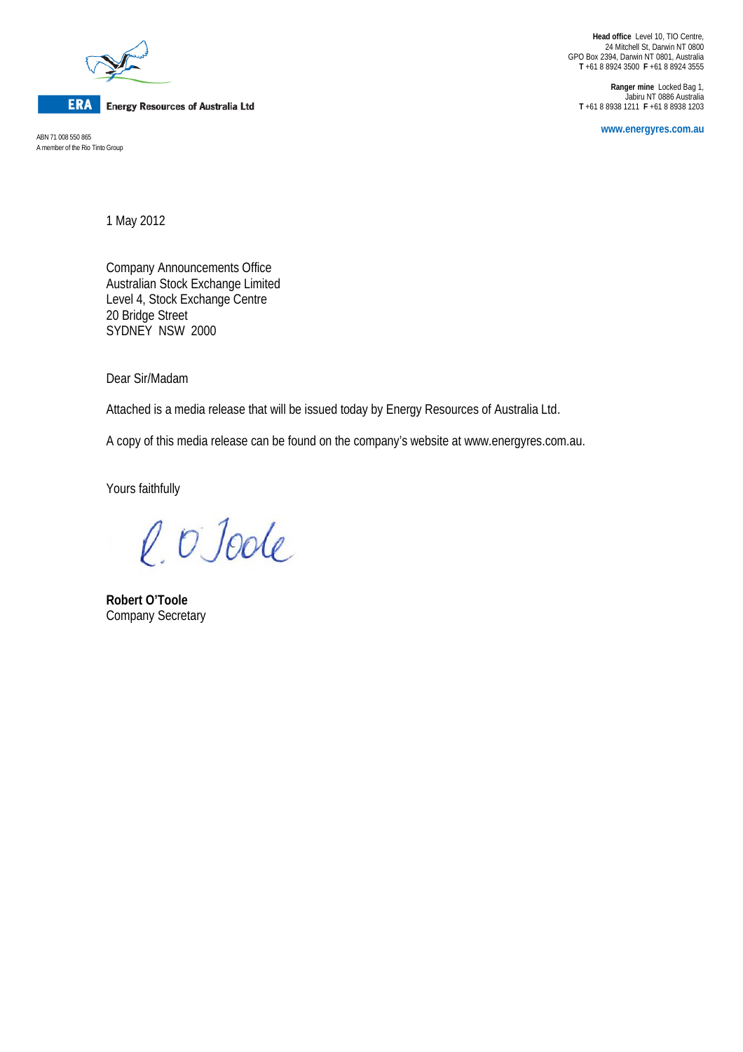

**ERA** Energy Resources of Australia Ltd

A member of the Rio Tinto Group

**Head office** Level 10, TIO Centre, 24 Mitchell St, Darwin NT 0800 GPO Box 2394, Darwin NT 0801, Australia **T** +61 8 8924 3500 **F** +61 8 8924 3555

**Ranger mine** Locked Bag 1, Jabiru NT 0886 Australia **T** +61 8 8938 1211 **F** +61 8 8938 1203

**www.energyres.com.au** ABN 71 008 550 865

1 May 2012

Company Announcements Office Australian Stock Exchange Limited Level 4, Stock Exchange Centre 20 Bridge Street SYDNEY NSW 2000

Dear Sir/Madam

Attached is a media release that will be issued today by Energy Resources of Australia Ltd.

A copy of this media release can be found on the company's website at www.energyres.com.au.

Yours faithfully

l. O Joole

**Robert O'Toole** Company Secretary